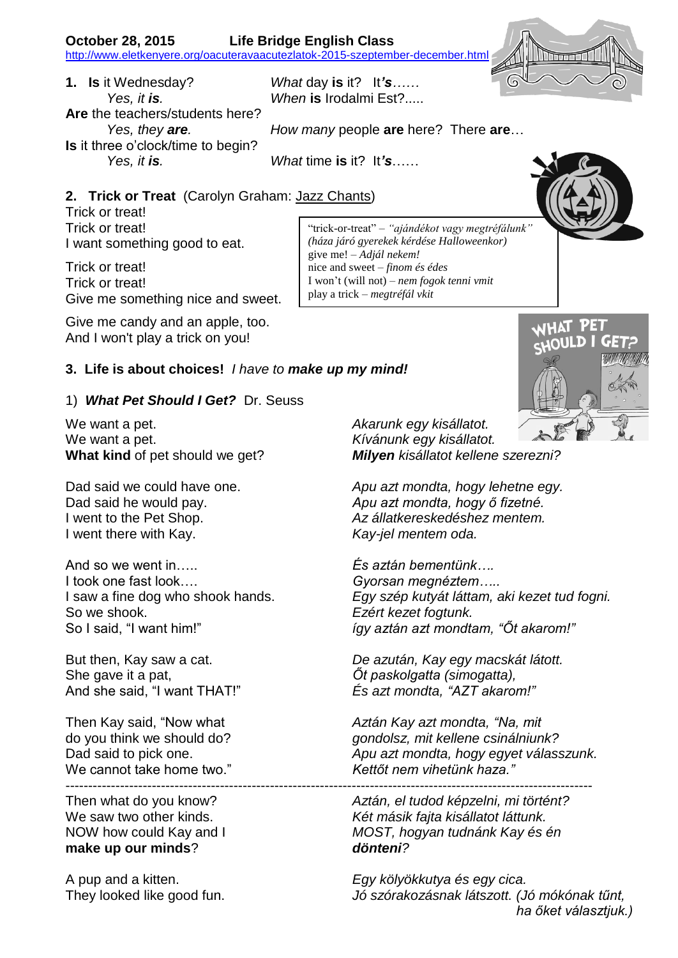**1. Is** it Wednesday? *What* day **is** it? It*'s…… Yes, it is. When* **is** Irodalmi Est?..... **Are** the teachers/students here? **Is** it three o'clock/time to begin? *Yes, it is. What* time **is** it? It*'s*……

*Yes, they are. How many* people **are** here? There **are**…

give me! – *Adjál nekem!* nice and sweet – *finom és édes*

play a trick – *megtréfál vkit*

## **2. Trick or Treat** (Carolyn Graham: [Jazz Chants\)](http://www.amazon.de/exec/obidos/ASIN/0195024966/schulhausonli-21/302-1165933-5769620)

Trick or treat! Trick or treat! I want something good to eat.

Trick or treat! Trick or treat! Give me something nice and sweet.

Give me candy and an apple, too. And I won't play a trick on you!

## **3. Life is about choices!** *I have to make up my mind!*

## 1) *What Pet Should I Get?* Dr. Seuss

We want a pet. *Akarunk egy kisállatot.* We want a pet. *Kívánunk egy kisállatot.*

I went there with Kay. *Kay-jel mentem oda.*

And so we went in….. *És aztán bementünk….* I took one fast look…. *Gyorsan megnéztem…..* So we shook. *Ezért kezet fogtunk.*

She gave it a pat, *Őt paskolgatta (simogatta),*

We cannot take home two." *Kettőt nem vihetünk haza."* --------------------------------------------------------------------------------------------------------------------

**make up our minds**? *dönteni?*

**What kind** of pet should we get? *Milyen kisállatot kellene szerezni?*

Dad said we could have one. *Apu azt mondta, hogy lehetne egy.* Dad said he would pay. *Apu azt mondta, hogy ő fizetné.* I went to the Pet Shop. *Az állatkereskedéshez mentem.*

I saw a fine dog who shook hands. *Egy szép kutyát láttam, aki kezet tud fogni.* So I said, "I want him!" *így aztán azt mondtam, "Őt akarom!"*

But then, Kay saw a cat. *De azután, Kay egy macskát látott.* And she said, "I want THAT!" *És azt mondta, "AZT akarom!"*

Then Kay said, "Now what *Aztán Kay azt mondta, "Na, mit*  do you think we should do? *gondolsz, mit kellene csinálniunk?* Dad said to pick one. *Apu azt mondta, hogy egyet válasszunk.*

Then what do you know? *Aztán, el tudod képzelni, mi történt?* We saw two other kinds. *Két másik fajta kisállatot láttunk.* NOW how could Kay and I *MOST, hogyan tudnánk Kay és én*

A pup and a kitten. *Egy kölyökkutya és egy cica.* They looked like good fun. *Jó szórakozásnak látszott. (Jó mókónak tűnt, ha őket választjuk.)*